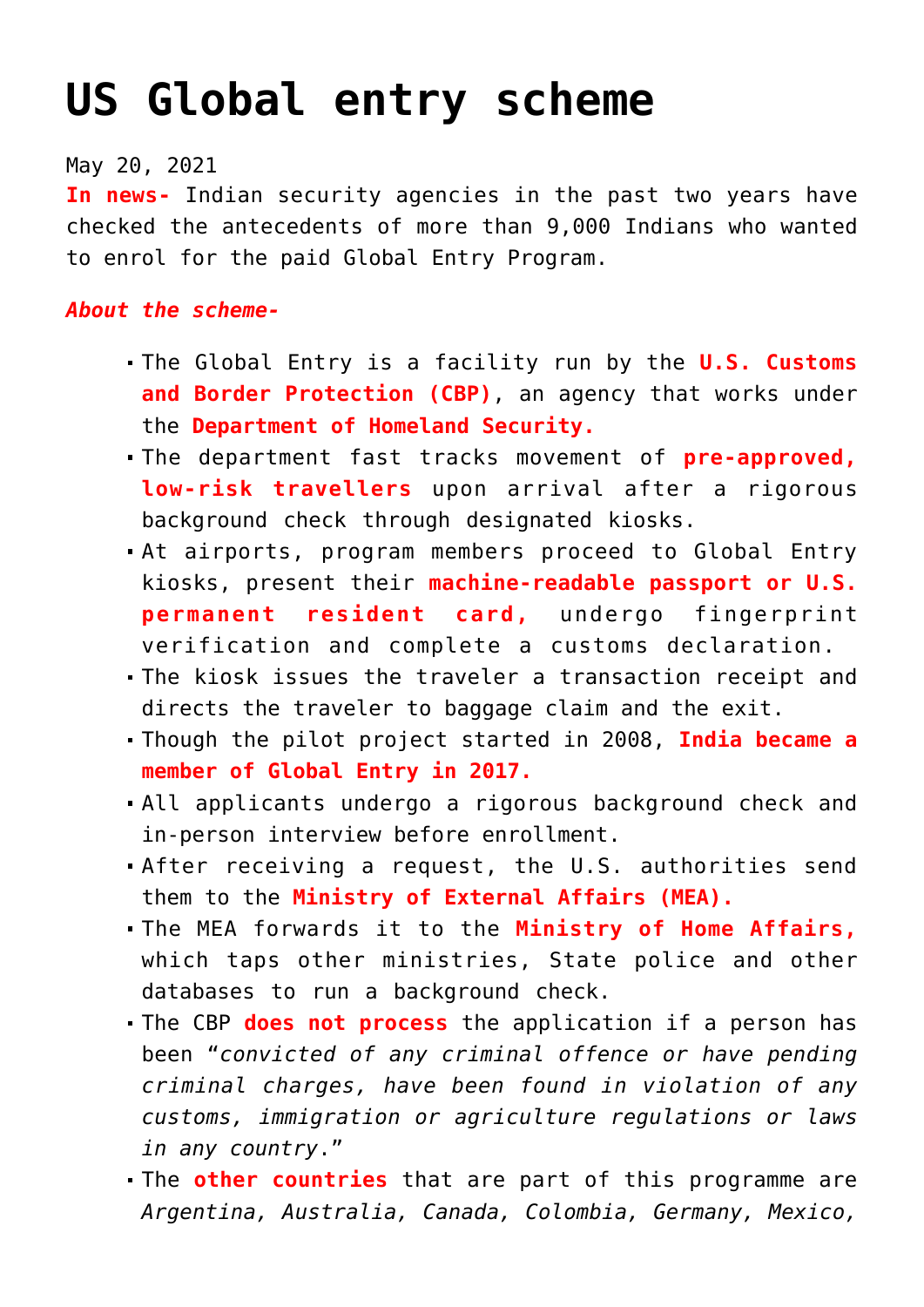## **[US Global entry scheme](https://journalsofindia.com/us-global-entry-scheme/)**

## May 20, 2021

**In news-** Indian security agencies in the past two years have checked the antecedents of more than 9,000 Indians who wanted to enrol for the paid Global Entry Program.

## *About the scheme-*

- The Global Entry is a facility run by the **U.S. Customs and Border Protection (CBP)**, an agency that works under the **Department of Homeland Security.**
- The department fast tracks movement of **pre-approved, low-risk travellers** upon arrival after a rigorous background check through designated kiosks.
- At airports, program members proceed to Global Entry kiosks, present their **machine-readable passport or U.S. permanent resident card,** undergo fingerprint verification and complete a customs declaration.
- The kiosk issues the traveler a transaction receipt and directs the traveler to baggage claim and the exit.
- Though the pilot project started in 2008, **India became a member of Global Entry in 2017.**
- All applicants undergo a rigorous background check and in-person interview before enrollment.
- After receiving a request, the U.S. authorities send them to the **Ministry of External Affairs (MEA).**
- The MEA forwards it to the **Ministry of Home Affairs,** which taps other ministries, State police and other databases to run a background check.
- The CBP **does not process** the application if a person has been "*convicted of any criminal offence or have pending criminal charges, have been found in violation of any customs, immigration or agriculture regulations or laws in any country*."
- The **other countries** that are part of this programme are *Argentina, Australia, Canada, Colombia, Germany, Mexico,*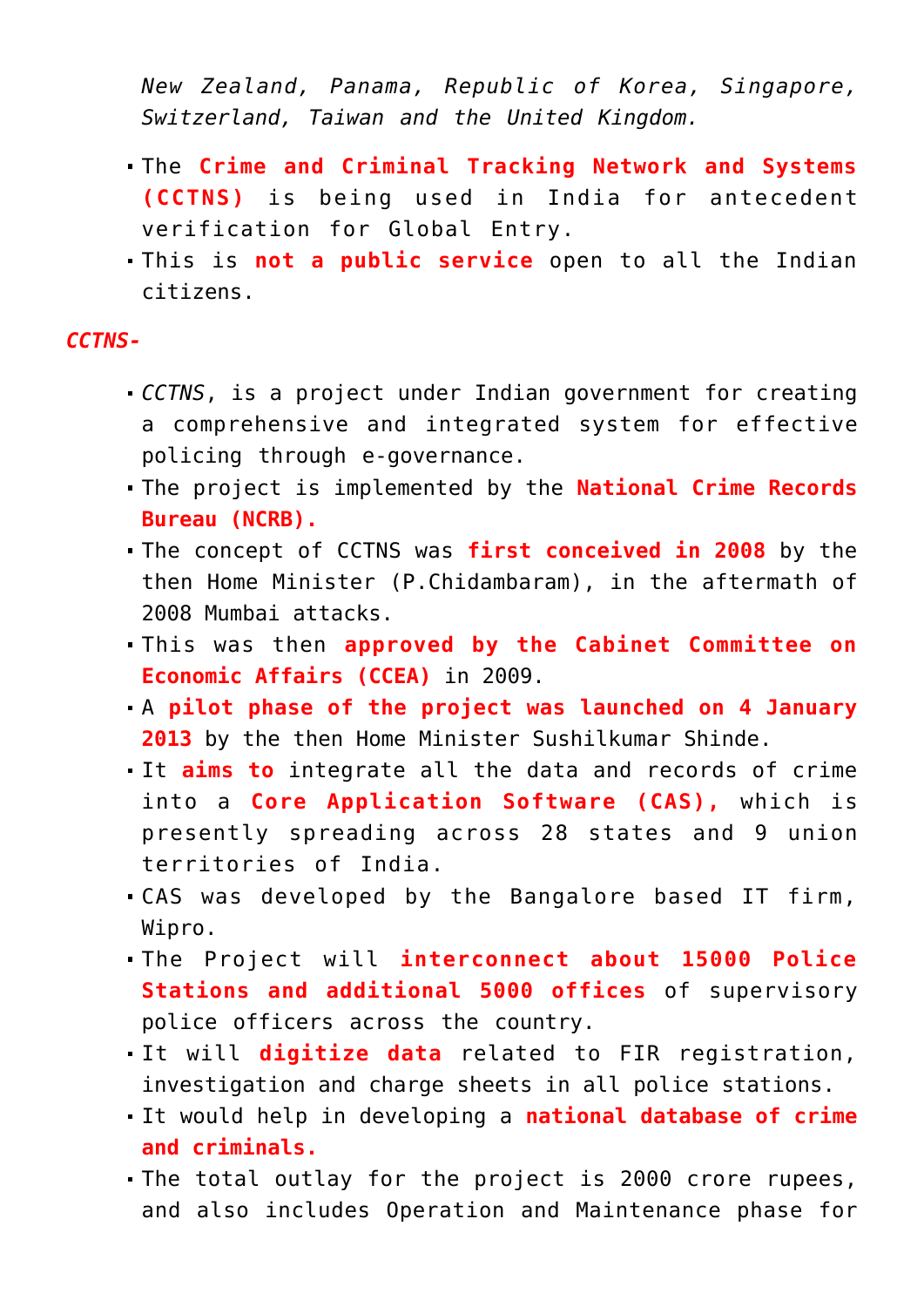*New Zealand, Panama, Republic of Korea, Singapore, Switzerland, Taiwan and the United Kingdom.*

- The **Crime and Criminal Tracking Network and Systems (CCTNS)** is being used in India for antecedent verification for Global Entry.
- This is **not a public service** open to all the Indian citizens.

## *CCTNS-*

- *CCTNS*, is a project under Indian government for creating a comprehensive and integrated system for effective policing through e-governance.
- The project is implemented by the **National Crime Records Bureau (NCRB).**
- The concept of CCTNS was **first conceived in 2008** by the then Home Minister (P.Chidambaram), in the aftermath of 2008 Mumbai attacks.
- This was then **approved by the Cabinet Committee on Economic Affairs (CCEA)** in 2009.
- A **pilot phase of the project was launched on 4 January 2013** by the then Home Minister Sushilkumar Shinde.
- It **aims to** integrate all the data and records of crime into a **Core Application Software (CAS),** which is presently spreading across 28 states and 9 union territories of India.
- CAS was developed by the Bangalore based IT firm, Wipro.
- The Project will **interconnect about 15000 Police Stations and additional 5000 offices** of supervisory police officers across the country.
- It will **digitize data** related to FIR registration, investigation and charge sheets in all police stations.
- It would help in developing a **national database of crime and criminals.**
- The total outlay for the project is 2000 crore rupees, and also includes Operation and Maintenance phase for